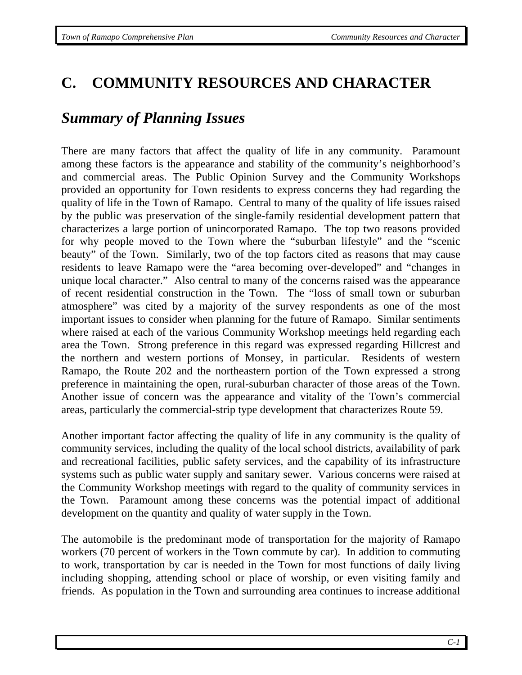## **C. COMMUNITY RESOURCES AND CHARACTER**

## *Summary of Planning Issues*

There are many factors that affect the quality of life in any community. Paramount among these factors is the appearance and stability of the community's neighborhood's and commercial areas. The Public Opinion Survey and the Community Workshops provided an opportunity for Town residents to express concerns they had regarding the quality of life in the Town of Ramapo. Central to many of the quality of life issues raised by the public was preservation of the single-family residential development pattern that characterizes a large portion of unincorporated Ramapo. The top two reasons provided for why people moved to the Town where the "suburban lifestyle" and the "scenic beauty" of the Town. Similarly, two of the top factors cited as reasons that may cause residents to leave Ramapo were the "area becoming over-developed" and "changes in unique local character." Also central to many of the concerns raised was the appearance of recent residential construction in the Town. The "loss of small town or suburban atmosphere" was cited by a majority of the survey respondents as one of the most important issues to consider when planning for the future of Ramapo. Similar sentiments where raised at each of the various Community Workshop meetings held regarding each area the Town. Strong preference in this regard was expressed regarding Hillcrest and the northern and western portions of Monsey, in particular. Residents of western Ramapo, the Route 202 and the northeastern portion of the Town expressed a strong preference in maintaining the open, rural-suburban character of those areas of the Town. Another issue of concern was the appearance and vitality of the Town's commercial areas, particularly the commercial-strip type development that characterizes Route 59.

Another important factor affecting the quality of life in any community is the quality of community services, including the quality of the local school districts, availability of park and recreational facilities, public safety services, and the capability of its infrastructure systems such as public water supply and sanitary sewer. Various concerns were raised at the Community Workshop meetings with regard to the quality of community services in the Town. Paramount among these concerns was the potential impact of additional development on the quantity and quality of water supply in the Town.

The automobile is the predominant mode of transportation for the majority of Ramapo workers (70 percent of workers in the Town commute by car). In addition to commuting to work, transportation by car is needed in the Town for most functions of daily living including shopping, attending school or place of worship, or even visiting family and friends. As population in the Town and surrounding area continues to increase additional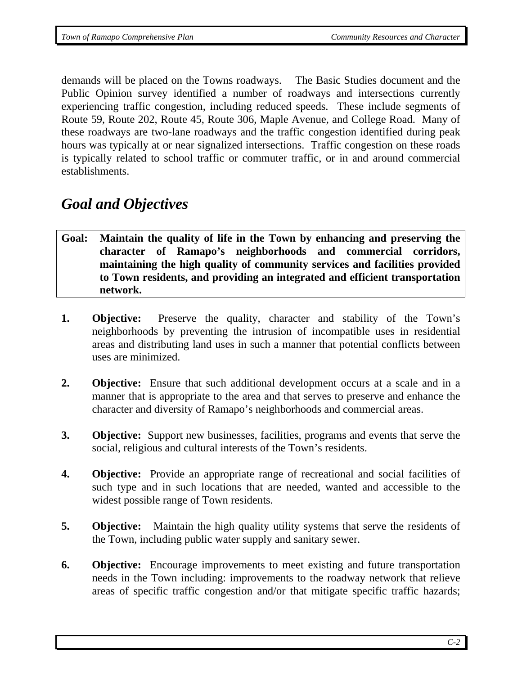demands will be placed on the Towns roadways. The Basic Studies document and the Public Opinion survey identified a number of roadways and intersections currently experiencing traffic congestion, including reduced speeds. These include segments of Route 59, Route 202, Route 45, Route 306, Maple Avenue, and College Road. Many of these roadways are two-lane roadways and the traffic congestion identified during peak hours was typically at or near signalized intersections. Traffic congestion on these roads is typically related to school traffic or commuter traffic, or in and around commercial establishments.

# *Goal and Objectives*

- **Goal: Maintain the quality of life in the Town by enhancing and preserving the character of Ramapo's neighborhoods and commercial corridors, maintaining the high quality of community services and facilities provided to Town residents, and providing an integrated and efficient transportation network.**
- **1. Objective:** Preserve the quality, character and stability of the Town's neighborhoods by preventing the intrusion of incompatible uses in residential areas and distributing land uses in such a manner that potential conflicts between uses are minimized.
- **2. Objective:** Ensure that such additional development occurs at a scale and in a manner that is appropriate to the area and that serves to preserve and enhance the character and diversity of Ramapo's neighborhoods and commercial areas.
- **3. Objective:** Support new businesses, facilities, programs and events that serve the social, religious and cultural interests of the Town's residents.
- **4. Objective:** Provide an appropriate range of recreational and social facilities of such type and in such locations that are needed, wanted and accessible to the widest possible range of Town residents.
- **5. Objective:** Maintain the high quality utility systems that serve the residents of the Town, including public water supply and sanitary sewer.
- **6.** Objective: Encourage improvements to meet existing and future transportation needs in the Town including: improvements to the roadway network that relieve areas of specific traffic congestion and/or that mitigate specific traffic hazards;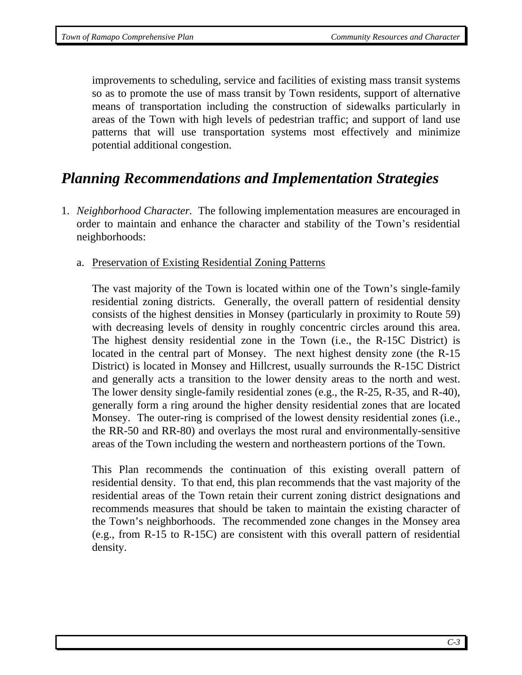improvements to scheduling, service and facilities of existing mass transit systems so as to promote the use of mass transit by Town residents, support of alternative means of transportation including the construction of sidewalks particularly in areas of the Town with high levels of pedestrian traffic; and support of land use patterns that will use transportation systems most effectively and minimize potential additional congestion.

## *Planning Recommendations and Implementation Strategies*

- 1. *Neighborhood Character.* The following implementation measures are encouraged in order to maintain and enhance the character and stability of the Town's residential neighborhoods:
	- a. Preservation of Existing Residential Zoning Patterns

The vast majority of the Town is located within one of the Town's single-family residential zoning districts. Generally, the overall pattern of residential density consists of the highest densities in Monsey (particularly in proximity to Route 59) with decreasing levels of density in roughly concentric circles around this area. The highest density residential zone in the Town (i.e., the R-15C District) is located in the central part of Monsey. The next highest density zone (the R-15 District) is located in Monsey and Hillcrest, usually surrounds the R-15C District and generally acts a transition to the lower density areas to the north and west. The lower density single-family residential zones (e.g., the R-25, R-35, and R-40), generally form a ring around the higher density residential zones that are located Monsey. The outer-ring is comprised of the lowest density residential zones (i.e., the RR-50 and RR-80) and overlays the most rural and environmentally-sensitive areas of the Town including the western and northeastern portions of the Town.

This Plan recommends the continuation of this existing overall pattern of residential density. To that end, this plan recommends that the vast majority of the residential areas of the Town retain their current zoning district designations and recommends measures that should be taken to maintain the existing character of the Town's neighborhoods. The recommended zone changes in the Monsey area (e.g., from R-15 to R-15C) are consistent with this overall pattern of residential density.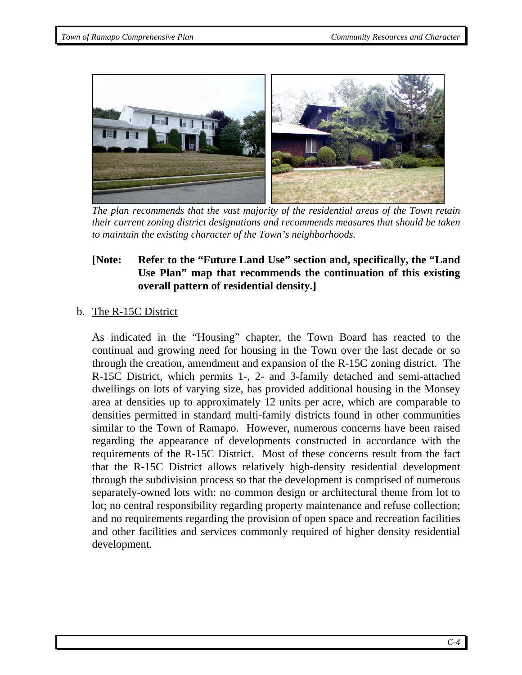

 *The plan recommends that the vast majority of the residential areas of the Town retain their current zoning district designations and recommends measures that should be taken to maintain the existing character of the Town's neighborhoods.* 

## **[Note: Refer to the "Future Land Use" section and, specifically, the "Land Use Plan" map that recommends the continuation of this existing overall pattern of residential density.]**

## b. The R-15C District

As indicated in the "Housing" chapter, the Town Board has reacted to the continual and growing need for housing in the Town over the last decade or so through the creation, amendment and expansion of the R-15C zoning district. The R-15C District, which permits 1-, 2- and 3-family detached and semi-attached dwellings on lots of varying size, has provided additional housing in the Monsey area at densities up to approximately 12 units per acre, which are comparable to densities permitted in standard multi-family districts found in other communities similar to the Town of Ramapo. However, numerous concerns have been raised regarding the appearance of developments constructed in accordance with the requirements of the R-15C District. Most of these concerns result from the fact that the R-15C District allows relatively high-density residential development through the subdivision process so that the development is comprised of numerous separately-owned lots with: no common design or architectural theme from lot to lot; no central responsibility regarding property maintenance and refuse collection; and no requirements regarding the provision of open space and recreation facilities and other facilities and services commonly required of higher density residential development.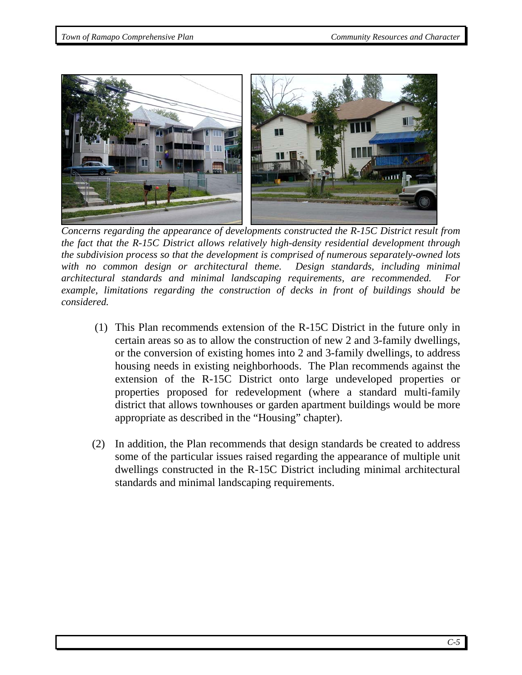

 *Concerns regarding the appearance of developments constructed the R-15C District result from the fact that the R-15C District allows relatively high-density residential development through the subdivision process so that the development is comprised of numerous separately-owned lots*  with no common design or architectural theme. Design standards, including minimal *architectural standards and minimal landscaping requirements, are recommended. For example, limitations regarding the construction of decks in front of buildings should be considered.* 

- (1) This Plan recommends extension of the R-15C District in the future only in certain areas so as to allow the construction of new 2 and 3-family dwellings, or the conversion of existing homes into 2 and 3-family dwellings, to address housing needs in existing neighborhoods. The Plan recommends against the extension of the R-15C District onto large undeveloped properties or properties proposed for redevelopment (where a standard multi-family district that allows townhouses or garden apartment buildings would be more appropriate as described in the "Housing" chapter).
- (2) In addition, the Plan recommends that design standards be created to address some of the particular issues raised regarding the appearance of multiple unit dwellings constructed in the R-15C District including minimal architectural standards and minimal landscaping requirements.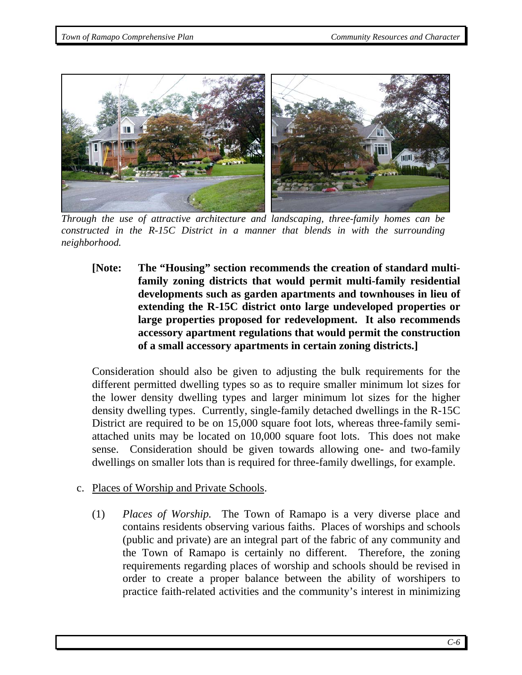

*Through the use of attractive architecture and landscaping, three-family homes can be constructed in the R-15C District in a manner that blends in with the surrounding neighborhood.* 

**[Note: The "Housing" section recommends the creation of standard multifamily zoning districts that would permit multi-family residential developments such as garden apartments and townhouses in lieu of extending the R-15C district onto large undeveloped properties or large properties proposed for redevelopment. It also recommends accessory apartment regulations that would permit the construction of a small accessory apartments in certain zoning districts.]** 

Consideration should also be given to adjusting the bulk requirements for the different permitted dwelling types so as to require smaller minimum lot sizes for the lower density dwelling types and larger minimum lot sizes for the higher density dwelling types. Currently, single-family detached dwellings in the R-15C District are required to be on 15,000 square foot lots, whereas three-family semiattached units may be located on 10,000 square foot lots. This does not make sense. Consideration should be given towards allowing one- and two-family dwellings on smaller lots than is required for three-family dwellings, for example.

- c. Places of Worship and Private Schools.
	- (1) *Places of Worship.* The Town of Ramapo is a very diverse place and contains residents observing various faiths. Places of worships and schools (public and private) are an integral part of the fabric of any community and the Town of Ramapo is certainly no different. Therefore, the zoning requirements regarding places of worship and schools should be revised in order to create a proper balance between the ability of worshipers to practice faith-related activities and the community's interest in minimizing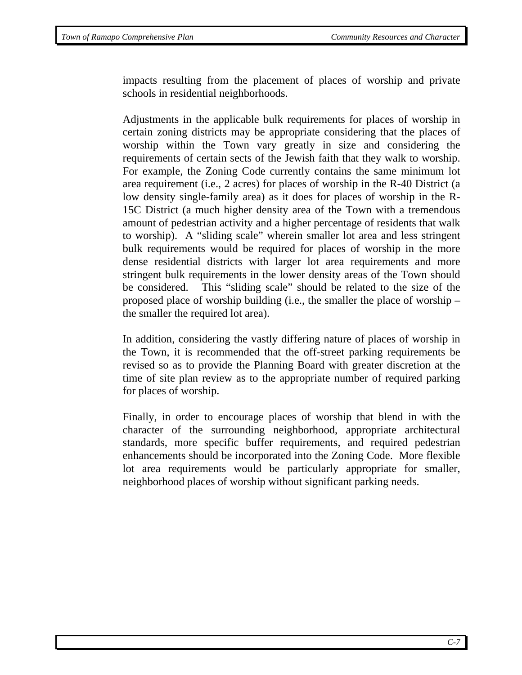impacts resulting from the placement of places of worship and private schools in residential neighborhoods.

Adjustments in the applicable bulk requirements for places of worship in certain zoning districts may be appropriate considering that the places of worship within the Town vary greatly in size and considering the requirements of certain sects of the Jewish faith that they walk to worship. For example, the Zoning Code currently contains the same minimum lot area requirement (i.e., 2 acres) for places of worship in the R-40 District (a low density single-family area) as it does for places of worship in the R-15C District (a much higher density area of the Town with a tremendous amount of pedestrian activity and a higher percentage of residents that walk to worship). A "sliding scale" wherein smaller lot area and less stringent bulk requirements would be required for places of worship in the more dense residential districts with larger lot area requirements and more stringent bulk requirements in the lower density areas of the Town should be considered. This "sliding scale" should be related to the size of the proposed place of worship building (i.e., the smaller the place of worship – the smaller the required lot area).

In addition, considering the vastly differing nature of places of worship in the Town, it is recommended that the off-street parking requirements be revised so as to provide the Planning Board with greater discretion at the time of site plan review as to the appropriate number of required parking for places of worship.

Finally, in order to encourage places of worship that blend in with the character of the surrounding neighborhood, appropriate architectural standards, more specific buffer requirements, and required pedestrian enhancements should be incorporated into the Zoning Code. More flexible lot area requirements would be particularly appropriate for smaller, neighborhood places of worship without significant parking needs.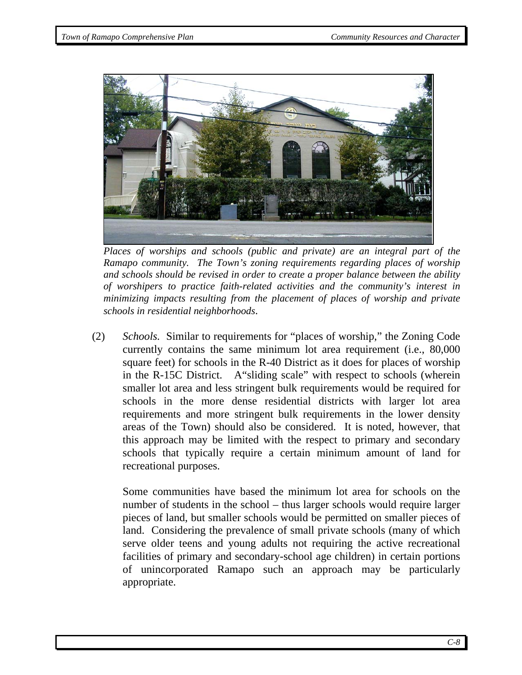

*Places of worships and schools (public and private) are an integral part of the Ramapo community. The Town's zoning requirements regarding places of worship and schools should be revised in order to create a proper balance between the ability of worshipers to practice faith-related activities and the community's interest in minimizing impacts resulting from the placement of places of worship and private schools in residential neighborhoods*.

(2) *Schools.* Similar to requirements for "places of worship," the Zoning Code currently contains the same minimum lot area requirement (i.e., 80,000 square feet) for schools in the R-40 District as it does for places of worship in the R-15C District. A"sliding scale" with respect to schools (wherein smaller lot area and less stringent bulk requirements would be required for schools in the more dense residential districts with larger lot area requirements and more stringent bulk requirements in the lower density areas of the Town) should also be considered. It is noted, however, that this approach may be limited with the respect to primary and secondary schools that typically require a certain minimum amount of land for recreational purposes.

Some communities have based the minimum lot area for schools on the number of students in the school – thus larger schools would require larger pieces of land, but smaller schools would be permitted on smaller pieces of land. Considering the prevalence of small private schools (many of which serve older teens and young adults not requiring the active recreational facilities of primary and secondary-school age children) in certain portions of unincorporated Ramapo such an approach may be particularly appropriate.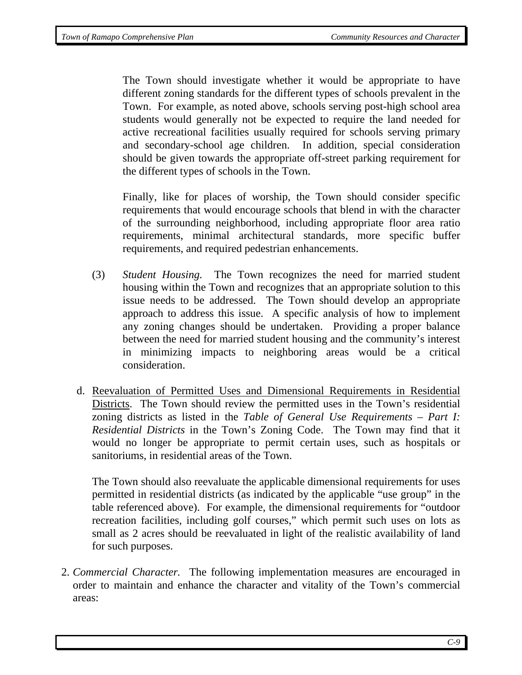The Town should investigate whether it would be appropriate to have different zoning standards for the different types of schools prevalent in the Town. For example, as noted above, schools serving post-high school area students would generally not be expected to require the land needed for active recreational facilities usually required for schools serving primary and secondary-school age children. In addition, special consideration should be given towards the appropriate off-street parking requirement for the different types of schools in the Town.

Finally, like for places of worship, the Town should consider specific requirements that would encourage schools that blend in with the character of the surrounding neighborhood, including appropriate floor area ratio requirements, minimal architectural standards, more specific buffer requirements, and required pedestrian enhancements.

- (3) *Student Housing.* The Town recognizes the need for married student housing within the Town and recognizes that an appropriate solution to this issue needs to be addressed. The Town should develop an appropriate approach to address this issue. A specific analysis of how to implement any zoning changes should be undertaken. Providing a proper balance between the need for married student housing and the community's interest in minimizing impacts to neighboring areas would be a critical consideration.
- d. Reevaluation of Permitted Uses and Dimensional Requirements in Residential Districts. The Town should review the permitted uses in the Town's residential zoning districts as listed in the *Table of General Use Requirements – Part I: Residential Districts* in the Town's Zoning Code. The Town may find that it would no longer be appropriate to permit certain uses, such as hospitals or sanitoriums, in residential areas of the Town.

The Town should also reevaluate the applicable dimensional requirements for uses permitted in residential districts (as indicated by the applicable "use group" in the table referenced above). For example, the dimensional requirements for "outdoor recreation facilities, including golf courses," which permit such uses on lots as small as 2 acres should be reevaluated in light of the realistic availability of land for such purposes.

2. *Commercial Character.* The following implementation measures are encouraged in order to maintain and enhance the character and vitality of the Town's commercial areas: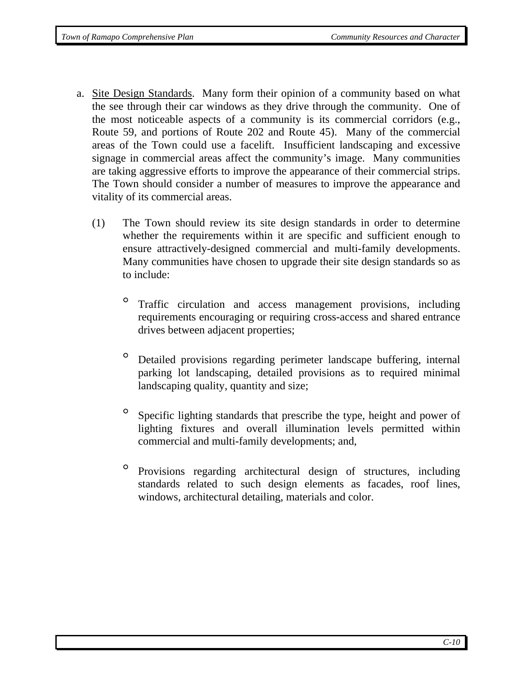- a. Site Design Standards. Many form their opinion of a community based on what the see through their car windows as they drive through the community. One of the most noticeable aspects of a community is its commercial corridors (e.g., Route 59, and portions of Route 202 and Route 45). Many of the commercial areas of the Town could use a facelift. Insufficient landscaping and excessive signage in commercial areas affect the community's image. Many communities are taking aggressive efforts to improve the appearance of their commercial strips. The Town should consider a number of measures to improve the appearance and vitality of its commercial areas.
	- (1) The Town should review its site design standards in order to determine whether the requirements within it are specific and sufficient enough to ensure attractively-designed commercial and multi-family developments. Many communities have chosen to upgrade their site design standards so as to include:
		- ° Traffic circulation and access management provisions, including requirements encouraging or requiring cross-access and shared entrance drives between adjacent properties;
		- Detailed provisions regarding perimeter landscape buffering, internal parking lot landscaping, detailed provisions as to required minimal landscaping quality, quantity and size;
		- ° Specific lighting standards that prescribe the type, height and power of lighting fixtures and overall illumination levels permitted within commercial and multi-family developments; and,
		- ° Provisions regarding architectural design of structures, including standards related to such design elements as facades, roof lines, windows, architectural detailing, materials and color.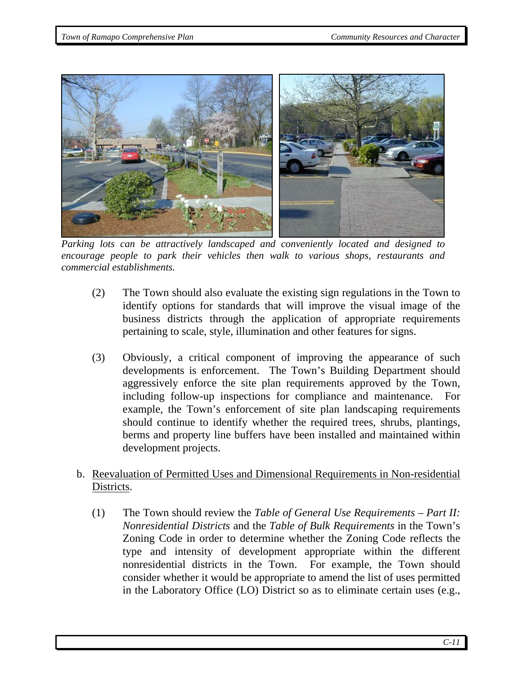

*Parking lots can be attractively landscaped and conveniently located and designed to encourage people to park their vehicles then walk to various shops, restaurants and commercial establishments.* 

- (2) The Town should also evaluate the existing sign regulations in the Town to identify options for standards that will improve the visual image of the business districts through the application of appropriate requirements pertaining to scale, style, illumination and other features for signs.
- (3) Obviously, a critical component of improving the appearance of such developments is enforcement. The Town's Building Department should aggressively enforce the site plan requirements approved by the Town, including follow-up inspections for compliance and maintenance. For example, the Town's enforcement of site plan landscaping requirements should continue to identify whether the required trees, shrubs, plantings, berms and property line buffers have been installed and maintained within development projects.
- b. Reevaluation of Permitted Uses and Dimensional Requirements in Non-residential Districts.
	- (1) The Town should review the *Table of General Use Requirements Part II: Nonresidential Districts* and the *Table of Bulk Requirements* in the Town's Zoning Code in order to determine whether the Zoning Code reflects the type and intensity of development appropriate within the different nonresidential districts in the Town. For example, the Town should consider whether it would be appropriate to amend the list of uses permitted in the Laboratory Office (LO) District so as to eliminate certain uses (e.g.,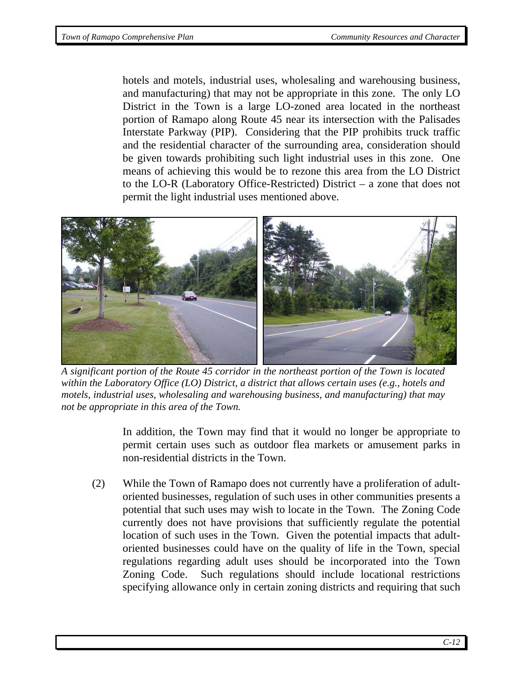hotels and motels, industrial uses, wholesaling and warehousing business, and manufacturing) that may not be appropriate in this zone. The only LO District in the Town is a large LO-zoned area located in the northeast portion of Ramapo along Route 45 near its intersection with the Palisades Interstate Parkway (PIP). Considering that the PIP prohibits truck traffic and the residential character of the surrounding area, consideration should be given towards prohibiting such light industrial uses in this zone. One means of achieving this would be to rezone this area from the LO District to the LO-R (Laboratory Office-Restricted) District – a zone that does not permit the light industrial uses mentioned above.



 *A significant portion of the Route 45 corridor in the northeast portion of the Town is located within the Laboratory Office (LO) District, a district that allows certain uses (e.g., hotels and motels, industrial uses, wholesaling and warehousing business, and manufacturing) that may not be appropriate in this area of the Town.* 

In addition, the Town may find that it would no longer be appropriate to permit certain uses such as outdoor flea markets or amusement parks in non-residential districts in the Town.

(2) While the Town of Ramapo does not currently have a proliferation of adultoriented businesses, regulation of such uses in other communities presents a potential that such uses may wish to locate in the Town. The Zoning Code currently does not have provisions that sufficiently regulate the potential location of such uses in the Town. Given the potential impacts that adultoriented businesses could have on the quality of life in the Town, special regulations regarding adult uses should be incorporated into the Town Zoning Code. Such regulations should include locational restrictions specifying allowance only in certain zoning districts and requiring that such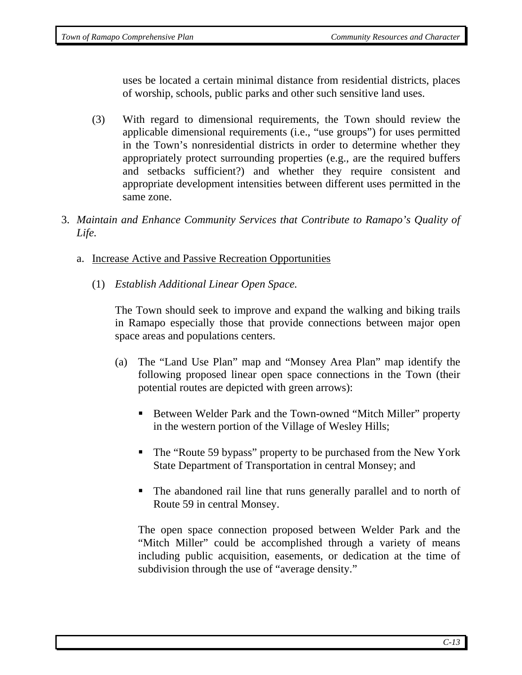uses be located a certain minimal distance from residential districts, places of worship, schools, public parks and other such sensitive land uses.

- (3) With regard to dimensional requirements, the Town should review the applicable dimensional requirements (i.e., "use groups") for uses permitted in the Town's nonresidential districts in order to determine whether they appropriately protect surrounding properties (e.g., are the required buffers and setbacks sufficient?) and whether they require consistent and appropriate development intensities between different uses permitted in the same zone.
- 3. *Maintain and Enhance Community Services that Contribute to Ramapo's Quality of Life.*
	- a. Increase Active and Passive Recreation Opportunities
		- (1) *Establish Additional Linear Open Space.*

The Town should seek to improve and expand the walking and biking trails in Ramapo especially those that provide connections between major open space areas and populations centers.

- (a) The "Land Use Plan" map and "Monsey Area Plan" map identify the following proposed linear open space connections in the Town (their potential routes are depicted with green arrows):
	- Between Welder Park and the Town-owned "Mitch Miller" property in the western portion of the Village of Wesley Hills;
	- The "Route 59 bypass" property to be purchased from the New York State Department of Transportation in central Monsey; and
	- The abandoned rail line that runs generally parallel and to north of Route 59 in central Monsey.

The open space connection proposed between Welder Park and the "Mitch Miller" could be accomplished through a variety of means including public acquisition, easements, or dedication at the time of subdivision through the use of "average density."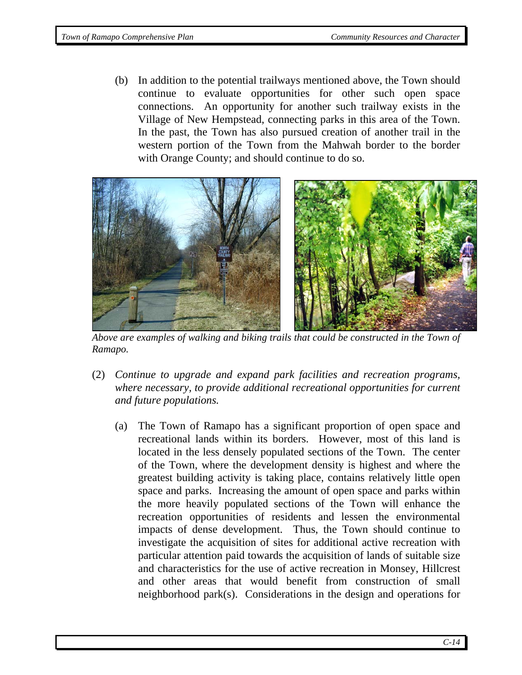(b) In addition to the potential trailways mentioned above, the Town should continue to evaluate opportunities for other such open space connections. An opportunity for another such trailway exists in the Village of New Hempstead, connecting parks in this area of the Town. In the past, the Town has also pursued creation of another trail in the western portion of the Town from the Mahwah border to the border with Orange County; and should continue to do so.



 *Above are examples of walking and biking trails that could be constructed in the Town of Ramapo.* 

- (2) *Continue to upgrade and expand park facilities and recreation programs, where necessary, to provide additional recreational opportunities for current and future populations.* 
	- (a) The Town of Ramapo has a significant proportion of open space and recreational lands within its borders. However, most of this land is located in the less densely populated sections of the Town. The center of the Town, where the development density is highest and where the greatest building activity is taking place, contains relatively little open space and parks. Increasing the amount of open space and parks within the more heavily populated sections of the Town will enhance the recreation opportunities of residents and lessen the environmental impacts of dense development. Thus, the Town should continue to investigate the acquisition of sites for additional active recreation with particular attention paid towards the acquisition of lands of suitable size and characteristics for the use of active recreation in Monsey, Hillcrest and other areas that would benefit from construction of small neighborhood park(s). Considerations in the design and operations for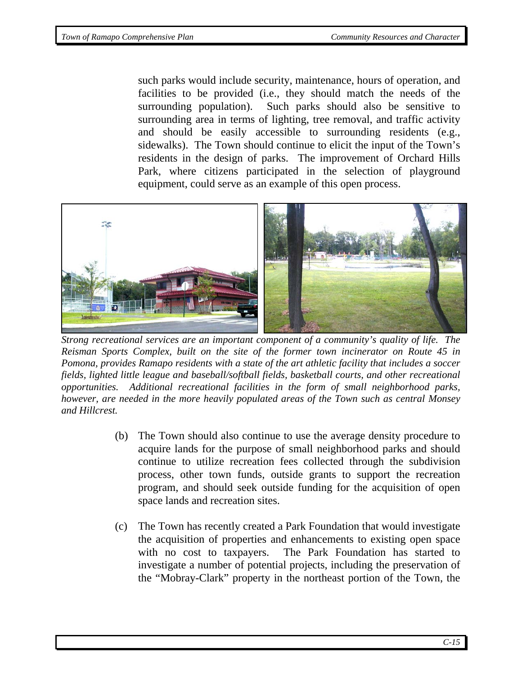such parks would include security, maintenance, hours of operation, and facilities to be provided (i.e., they should match the needs of the surrounding population). Such parks should also be sensitive to surrounding area in terms of lighting, tree removal, and traffic activity and should be easily accessible to surrounding residents (e.g., sidewalks). The Town should continue to elicit the input of the Town's residents in the design of parks. The improvement of Orchard Hills Park, where citizens participated in the selection of playground equipment, could serve as an example of this open process.



 *Strong recreational services are an important component of a community's quality of life. The Reisman Sports Complex, built on the site of the former town incinerator on Route 45 in Pomona, provides Ramapo residents with a state of the art athletic facility that includes a soccer fields, lighted little league and baseball/softball fields, basketball courts, and other recreational opportunities. Additional recreational facilities in the form of small neighborhood parks, however, are needed in the more heavily populated areas of the Town such as central Monsey and Hillcrest.* 

- (b) The Town should also continue to use the average density procedure to acquire lands for the purpose of small neighborhood parks and should continue to utilize recreation fees collected through the subdivision process, other town funds, outside grants to support the recreation program, and should seek outside funding for the acquisition of open space lands and recreation sites.
- (c) The Town has recently created a Park Foundation that would investigate the acquisition of properties and enhancements to existing open space with no cost to taxpayers. The Park Foundation has started to investigate a number of potential projects, including the preservation of the "Mobray-Clark" property in the northeast portion of the Town, the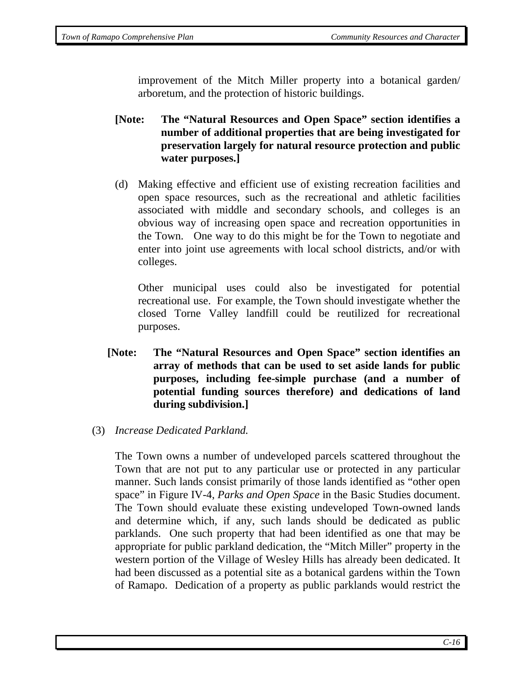improvement of the Mitch Miller property into a botanical garden/ arboretum, and the protection of historic buildings.

- **[Note: The "Natural Resources and Open Space" section identifies a number of additional properties that are being investigated for preservation largely for natural resource protection and public water purposes.]**
- (d) Making effective and efficient use of existing recreation facilities and open space resources, such as the recreational and athletic facilities associated with middle and secondary schools, and colleges is an obvious way of increasing open space and recreation opportunities in the Town. One way to do this might be for the Town to negotiate and enter into joint use agreements with local school districts, and/or with colleges.

Other municipal uses could also be investigated for potential recreational use. For example, the Town should investigate whether the closed Torne Valley landfill could be reutilized for recreational purposes.

- **[Note: The "Natural Resources and Open Space" section identifies an array of methods that can be used to set aside lands for public purposes, including fee-simple purchase (and a number of potential funding sources therefore) and dedications of land during subdivision.]**
- (3) *Increase Dedicated Parkland.*

The Town owns a number of undeveloped parcels scattered throughout the Town that are not put to any particular use or protected in any particular manner. Such lands consist primarily of those lands identified as "other open space" in Figure IV-4, *Parks and Open Space* in the Basic Studies document. The Town should evaluate these existing undeveloped Town-owned lands and determine which, if any, such lands should be dedicated as public parklands. One such property that had been identified as one that may be appropriate for public parkland dedication, the "Mitch Miller" property in the western portion of the Village of Wesley Hills has already been dedicated. It had been discussed as a potential site as a botanical gardens within the Town of Ramapo. Dedication of a property as public parklands would restrict the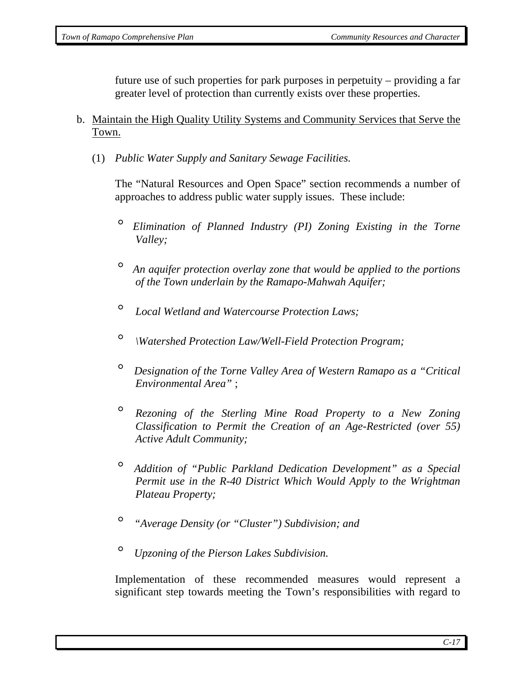future use of such properties for park purposes in perpetuity – providing a far greater level of protection than currently exists over these properties.

- b. Maintain the High Quality Utility Systems and Community Services that Serve the Town.
	- (1) *Public Water Supply and Sanitary Sewage Facilities.*

The "Natural Resources and Open Space" section recommends a number of approaches to address public water supply issues. These include:

- ° *Elimination of Planned Industry (PI) Zoning Existing in the Torne Valley;*
- ° *An aquifer protection overlay zone that would be applied to the portions of the Town underlain by the Ramapo-Mahwah Aquifer;*
- ° *Local Wetland and Watercourse Protection Laws;*
- ° *\Watershed Protection Law/Well-Field Protection Program;*
- ° *Designation of the Torne Valley Area of Western Ramapo as a "Critical Environmental Area"* ;
- ° *Rezoning of the Sterling Mine Road Property to a New Zoning Classification to Permit the Creation of an Age-Restricted (over 55) Active Adult Community;*
- ° *Addition of "Public Parkland Dedication Development" as a Special Permit use in the R-40 District Which Would Apply to the Wrightman Plateau Property;*
- ° *"Average Density (or "Cluster") Subdivision; and*
- ° *Upzoning of the Pierson Lakes Subdivision.*

Implementation of these recommended measures would represent a significant step towards meeting the Town's responsibilities with regard to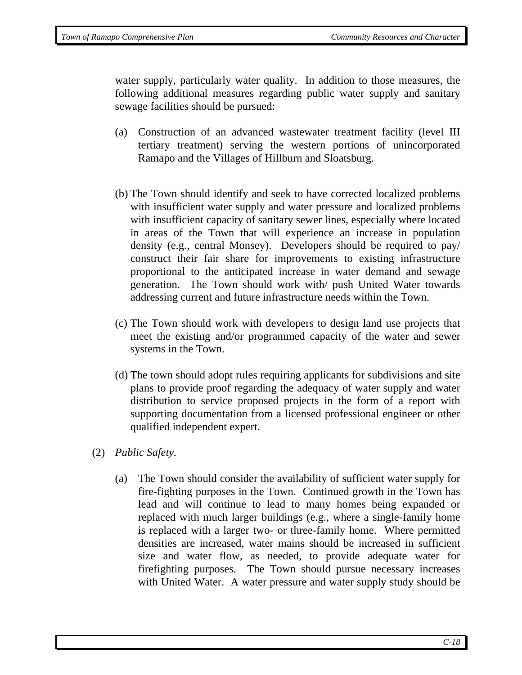water supply, particularly water quality. In addition to those measures, the following additional measures regarding public water supply and sanitary sewage facilities should be pursued:

- (a) Construction of an advanced wastewater treatment facility (level III tertiary treatment) serving the western portions of unincorporated Ramapo and the Villages of Hillburn and Sloatsburg.
- (b) The Town should identify and seek to have corrected localized problems with insufficient water supply and water pressure and localized problems with insufficient capacity of sanitary sewer lines, especially where located in areas of the Town that will experience an increase in population density (e.g., central Monsey). Developers should be required to pay/ construct their fair share for improvements to existing infrastructure proportional to the anticipated increase in water demand and sewage generation. The Town should work with/ push United Water towards addressing current and future infrastructure needs within the Town.
- (c) The Town should work with developers to design land use projects that meet the existing and/or programmed capacity of the water and sewer systems in the Town.
- (d) The town should adopt rules requiring applicants for subdivisions and site plans to provide proof regarding the adequacy of water supply and water distribution to service proposed projects in the form of a report with supporting documentation from a licensed professional engineer or other qualified independent expert.
- (2) *Public Safety.* 
	- (a) The Town should consider the availability of sufficient water supply for fire-fighting purposes in the Town. Continued growth in the Town has lead and will continue to lead to many homes being expanded or replaced with much larger buildings (e.g., where a single-family home is replaced with a larger two- or three-family home. Where permitted densities are increased, water mains should be increased in sufficient size and water flow, as needed, to provide adequate water for firefighting purposes. The Town should pursue necessary increases with United Water. A water pressure and water supply study should be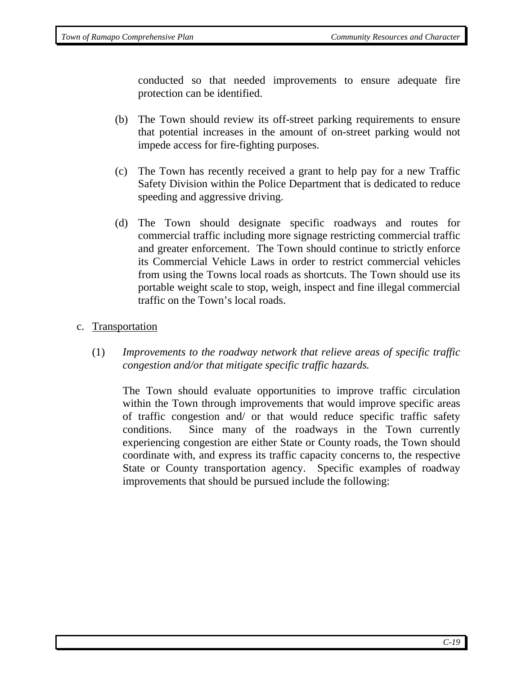conducted so that needed improvements to ensure adequate fire protection can be identified.

- (b) The Town should review its off-street parking requirements to ensure that potential increases in the amount of on-street parking would not impede access for fire-fighting purposes.
- (c) The Town has recently received a grant to help pay for a new Traffic Safety Division within the Police Department that is dedicated to reduce speeding and aggressive driving.
- (d) The Town should designate specific roadways and routes for commercial traffic including more signage restricting commercial traffic and greater enforcement. The Town should continue to strictly enforce its Commercial Vehicle Laws in order to restrict commercial vehicles from using the Towns local roads as shortcuts. The Town should use its portable weight scale to stop, weigh, inspect and fine illegal commercial traffic on the Town's local roads.

### c. Transportation

(1) *Improvements to the roadway network that relieve areas of specific traffic congestion and/or that mitigate specific traffic hazards.* 

The Town should evaluate opportunities to improve traffic circulation within the Town through improvements that would improve specific areas of traffic congestion and/ or that would reduce specific traffic safety conditions. Since many of the roadways in the Town currently experiencing congestion are either State or County roads, the Town should coordinate with, and express its traffic capacity concerns to, the respective State or County transportation agency. Specific examples of roadway improvements that should be pursued include the following: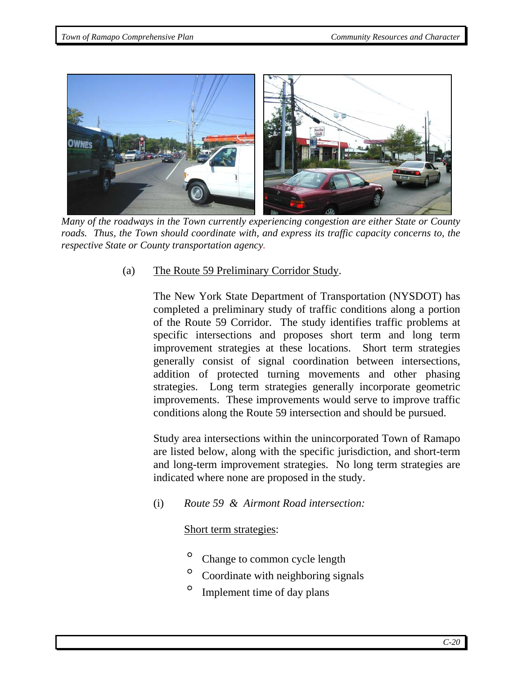

 *Many of the roadways in the Town currently experiencing congestion are either State or County roads. Thus, the Town should coordinate with, and express its traffic capacity concerns to, the respective State or County transportation agency.* 

(a) The Route 59 Preliminary Corridor Study.

The New York State Department of Transportation (NYSDOT) has completed a preliminary study of traffic conditions along a portion of the Route 59 Corridor. The study identifies traffic problems at specific intersections and proposes short term and long term improvement strategies at these locations. Short term strategies generally consist of signal coordination between intersections, addition of protected turning movements and other phasing strategies. Long term strategies generally incorporate geometric improvements. These improvements would serve to improve traffic conditions along the Route 59 intersection and should be pursued.

Study area intersections within the unincorporated Town of Ramapo are listed below, along with the specific jurisdiction, and short-term and long-term improvement strategies. No long term strategies are indicated where none are proposed in the study.

(i) *Route 59 & Airmont Road intersection:*

Short term strategies:

- Change to common cycle length
- Coordinate with neighboring signals
- ° Implement time of day plans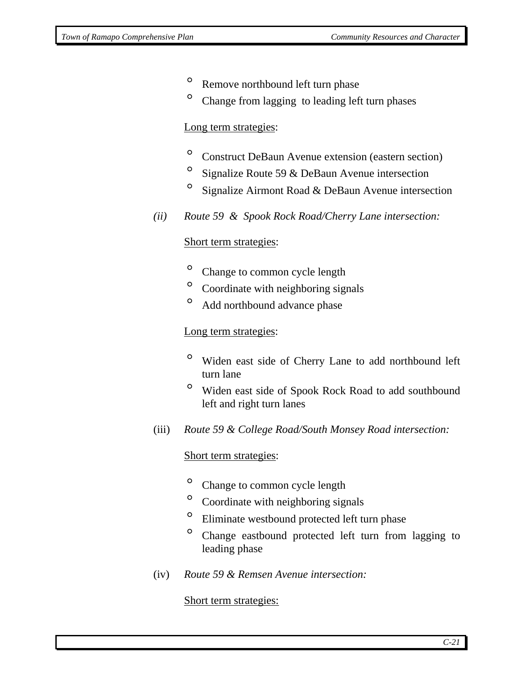- <sup>o</sup> Remove northbound left turn phase
- <sup>o</sup> Change from lagging to leading left turn phases

#### Long term strategies:

- ° Construct DeBaun Avenue extension (eastern section)
- $\degree$  Signalize Route 59 & DeBaun Avenue intersection
- $\degree$  Signalize Airmont Road & DeBaun Avenue intersection
- *(ii) Route 59 & Spook Rock Road/Cherry Lane intersection:*

### Short term strategies:

- <sup>o</sup> Change to common cycle length
- ° Coordinate with neighboring signals
- ° Add northbound advance phase

#### Long term strategies:

- ° Widen east side of Cherry Lane to add northbound left turn lane
- ° Widen east side of Spook Rock Road to add southbound left and right turn lanes
- (iii) *Route 59 & College Road/South Monsey Road intersection:*

#### Short term strategies:

- <sup>o</sup> Change to common cycle length
- ° Coordinate with neighboring signals
- ° Eliminate westbound protected left turn phase
- ° Change eastbound protected left turn from lagging to leading phase
- (iv) *Route 59 & Remsen Avenue intersection:*

#### Short term strategies: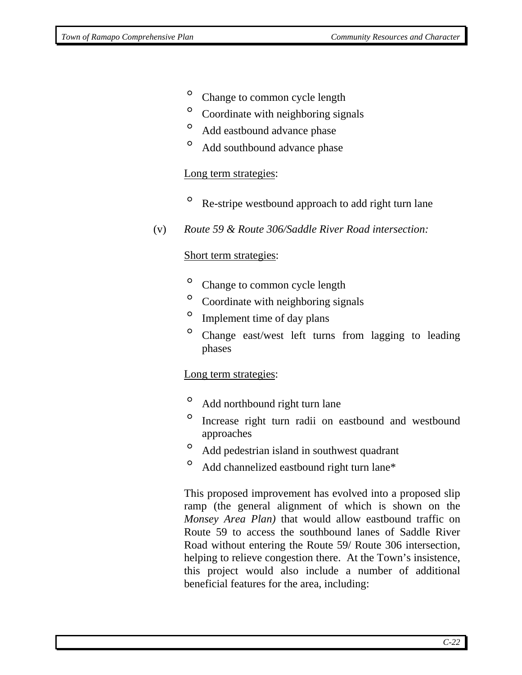- <sup>o</sup> Change to common cycle length
- ° Coordinate with neighboring signals
- ° Add eastbound advance phase
- ° Add southbound advance phase

#### Long term strategies:

- <sup>o</sup> Re-stripe westbound approach to add right turn lane
- (v) *Route 59 & Route 306/Saddle River Road intersection:*

#### Short term strategies:

- <sup>o</sup> Change to common cycle length
- ° Coordinate with neighboring signals
- Implement time of day plans
- ° Change east/west left turns from lagging to leading phases

#### Long term strategies:

- ° Add northbound right turn lane
- ° Increase right turn radii on eastbound and westbound approaches
- ° Add pedestrian island in southwest quadrant
- Add channelized eastbound right turn lane\*

This proposed improvement has evolved into a proposed slip ramp (the general alignment of which is shown on the *Monsey Area Plan)* that would allow eastbound traffic on Route 59 to access the southbound lanes of Saddle River Road without entering the Route 59/ Route 306 intersection, helping to relieve congestion there. At the Town's insistence, this project would also include a number of additional beneficial features for the area, including: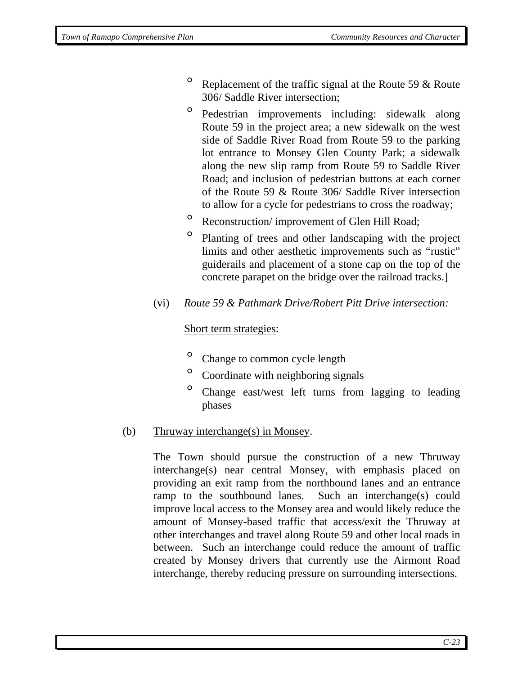- <sup>o</sup> Replacement of the traffic signal at the Route 59  $\&$  Route 306/ Saddle River intersection;
- ° Pedestrian improvements including: sidewalk along Route 59 in the project area; a new sidewalk on the west side of Saddle River Road from Route 59 to the parking lot entrance to Monsey Glen County Park; a sidewalk along the new slip ramp from Route 59 to Saddle River Road; and inclusion of pedestrian buttons at each corner of the Route 59 & Route 306/ Saddle River intersection to allow for a cycle for pedestrians to cross the roadway;
- <sup>o</sup> Reconstruction/ improvement of Glen Hill Road;
- ° Planting of trees and other landscaping with the project limits and other aesthetic improvements such as "rustic" guiderails and placement of a stone cap on the top of the concrete parapet on the bridge over the railroad tracks.]
- (vi) *Route 59 & Pathmark Drive/Robert Pitt Drive intersection:*

## Short term strategies:

- Change to common cycle length
- ° Coordinate with neighboring signals
- ° Change east/west left turns from lagging to leading phases

## (b) Thruway interchange(s) in Monsey.

The Town should pursue the construction of a new Thruway interchange(s) near central Monsey, with emphasis placed on providing an exit ramp from the northbound lanes and an entrance ramp to the southbound lanes. Such an interchange(s) could improve local access to the Monsey area and would likely reduce the amount of Monsey-based traffic that access/exit the Thruway at other interchanges and travel along Route 59 and other local roads in between. Such an interchange could reduce the amount of traffic created by Monsey drivers that currently use the Airmont Road interchange, thereby reducing pressure on surrounding intersections.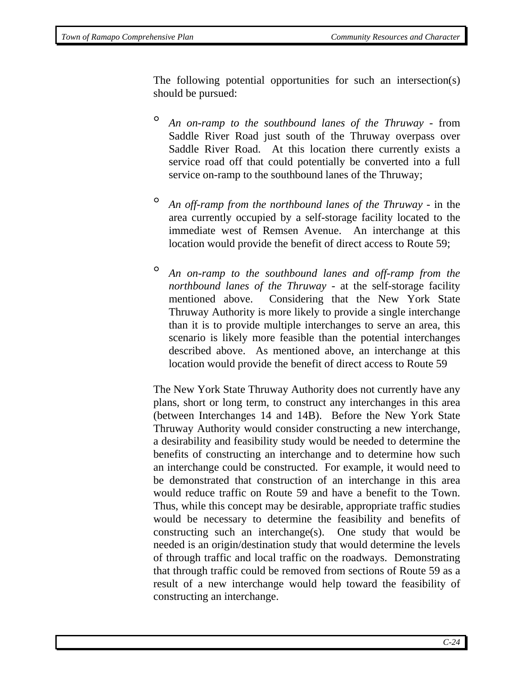The following potential opportunities for such an intersection(s) should be pursued:

- ° *An on-ramp to the southbound lanes of the Thruway* from Saddle River Road just south of the Thruway overpass over Saddle River Road. At this location there currently exists a service road off that could potentially be converted into a full service on-ramp to the southbound lanes of the Thruway;
- ° *An off-ramp from the northbound lanes of the Thruway* in the area currently occupied by a self-storage facility located to the immediate west of Remsen Avenue. An interchange at this location would provide the benefit of direct access to Route 59;
- ° *An on-ramp to the southbound lanes and off-ramp from the northbound lanes of the Thruway* - at the self-storage facility mentioned above. Considering that the New York State Thruway Authority is more likely to provide a single interchange than it is to provide multiple interchanges to serve an area, this scenario is likely more feasible than the potential interchanges described above. As mentioned above, an interchange at this location would provide the benefit of direct access to Route 59

The New York State Thruway Authority does not currently have any plans, short or long term, to construct any interchanges in this area (between Interchanges 14 and 14B). Before the New York State Thruway Authority would consider constructing a new interchange, a desirability and feasibility study would be needed to determine the benefits of constructing an interchange and to determine how such an interchange could be constructed. For example, it would need to be demonstrated that construction of an interchange in this area would reduce traffic on Route 59 and have a benefit to the Town. Thus, while this concept may be desirable, appropriate traffic studies would be necessary to determine the feasibility and benefits of constructing such an interchange(s). One study that would be needed is an origin/destination study that would determine the levels of through traffic and local traffic on the roadways. Demonstrating that through traffic could be removed from sections of Route 59 as a result of a new interchange would help toward the feasibility of constructing an interchange.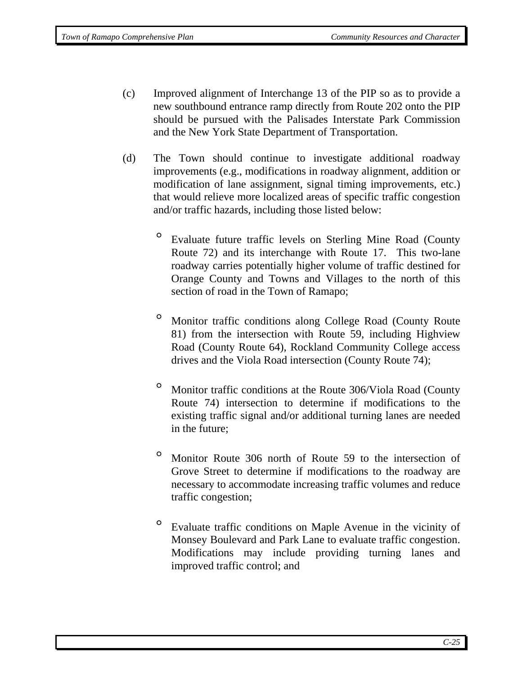- (c) Improved alignment of Interchange 13 of the PIP so as to provide a new southbound entrance ramp directly from Route 202 onto the PIP should be pursued with the Palisades Interstate Park Commission and the New York State Department of Transportation.
- (d) The Town should continue to investigate additional roadway improvements (e.g., modifications in roadway alignment, addition or modification of lane assignment, signal timing improvements, etc.) that would relieve more localized areas of specific traffic congestion and/or traffic hazards, including those listed below:
	- ° Evaluate future traffic levels on Sterling Mine Road (County Route 72) and its interchange with Route 17. This two-lane roadway carries potentially higher volume of traffic destined for Orange County and Towns and Villages to the north of this section of road in the Town of Ramapo;
	- ° Monitor traffic conditions along College Road (County Route 81) from the intersection with Route 59, including Highview Road (County Route 64), Rockland Community College access drives and the Viola Road intersection (County Route 74);
	- ° Monitor traffic conditions at the Route 306/Viola Road (County Route 74) intersection to determine if modifications to the existing traffic signal and/or additional turning lanes are needed in the future;
	- ° Monitor Route 306 north of Route 59 to the intersection of Grove Street to determine if modifications to the roadway are necessary to accommodate increasing traffic volumes and reduce traffic congestion;
	- ° Evaluate traffic conditions on Maple Avenue in the vicinity of Monsey Boulevard and Park Lane to evaluate traffic congestion. Modifications may include providing turning lanes and improved traffic control; and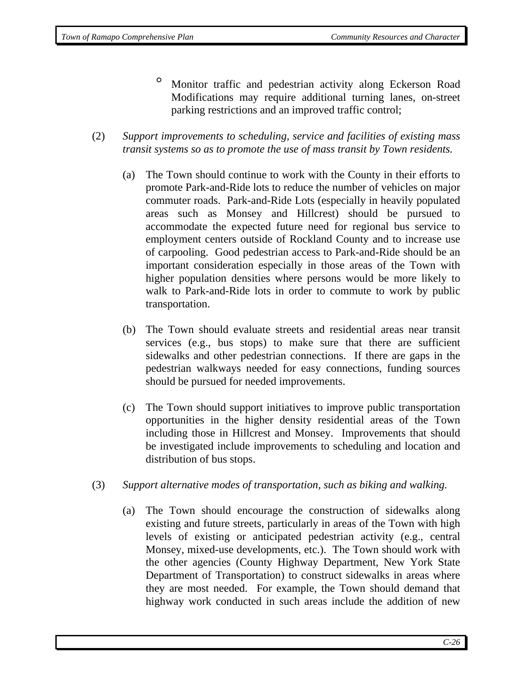- ° Monitor traffic and pedestrian activity along Eckerson Road Modifications may require additional turning lanes, on-street parking restrictions and an improved traffic control;
- (2) *Support improvements to scheduling, service and facilities of existing mass transit systems so as to promote the use of mass transit by Town residents.* 
	- (a) The Town should continue to work with the County in their efforts to promote Park-and-Ride lots to reduce the number of vehicles on major commuter roads. Park-and-Ride Lots (especially in heavily populated areas such as Monsey and Hillcrest) should be pursued to accommodate the expected future need for regional bus service to employment centers outside of Rockland County and to increase use of carpooling. Good pedestrian access to Park-and-Ride should be an important consideration especially in those areas of the Town with higher population densities where persons would be more likely to walk to Park-and-Ride lots in order to commute to work by public transportation.
	- (b) The Town should evaluate streets and residential areas near transit services (e.g., bus stops) to make sure that there are sufficient sidewalks and other pedestrian connections. If there are gaps in the pedestrian walkways needed for easy connections, funding sources should be pursued for needed improvements.
	- (c) The Town should support initiatives to improve public transportation opportunities in the higher density residential areas of the Town including those in Hillcrest and Monsey. Improvements that should be investigated include improvements to scheduling and location and distribution of bus stops.
- (3) *Support alternative modes of transportation, such as biking and walking.* 
	- (a) The Town should encourage the construction of sidewalks along existing and future streets, particularly in areas of the Town with high levels of existing or anticipated pedestrian activity (e.g., central Monsey, mixed-use developments, etc.). The Town should work with the other agencies (County Highway Department, New York State Department of Transportation) to construct sidewalks in areas where they are most needed. For example, the Town should demand that highway work conducted in such areas include the addition of new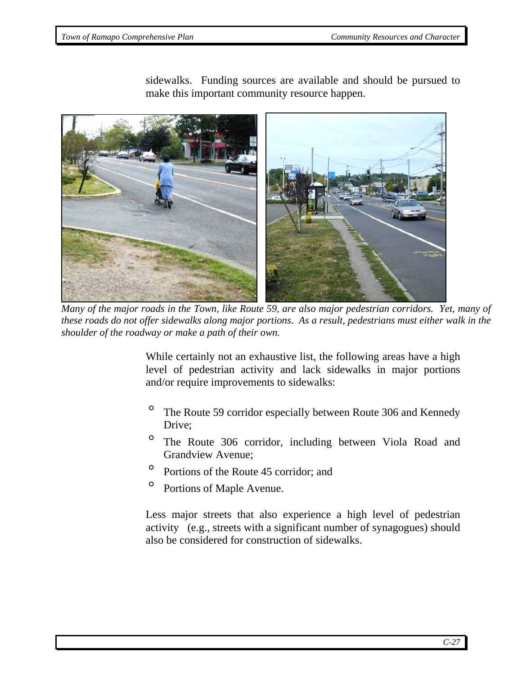

sidewalks. Funding sources are available and should be pursued to make this important community resource happen.

 *Many of the major roads in the Town, like Route 59, are also major pedestrian corridors. Yet, many of these roads do not offer sidewalks along major portions*. *As a result, pedestrians must either walk in the shoulder of the roadway or make a path of their own.* 

While certainly not an exhaustive list, the following areas have a high level of pedestrian activity and lack sidewalks in major portions and/or require improvements to sidewalks:

- ° The Route 59 corridor especially between Route 306 and Kennedy Drive;
- ° The Route 306 corridor, including between Viola Road and Grandview Avenue;
- ° Portions of the Route 45 corridor; and
- ° Portions of Maple Avenue.

Less major streets that also experience a high level of pedestrian activity (e.g., streets with a significant number of synagogues) should also be considered for construction of sidewalks.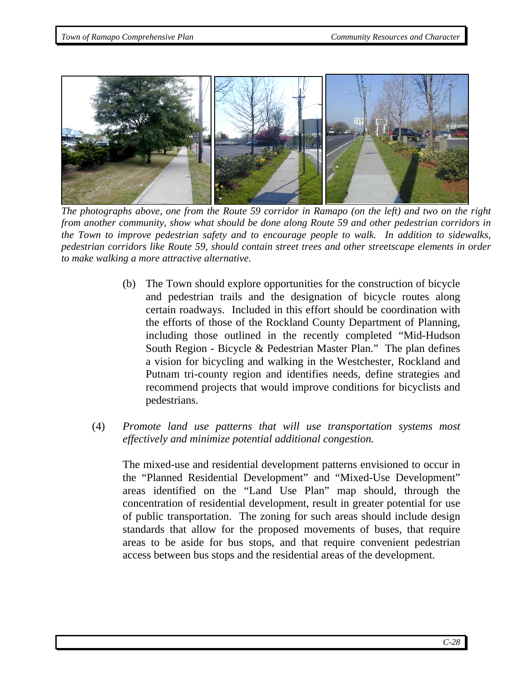

*The photographs above, one from the Route 59 corridor in Ramapo (on the left) and two on the right from another community, show what should be done along Route 59 and other pedestrian corridors in the Town to improve pedestrian safety and to encourage people to walk. In addition to sidewalks, pedestrian corridors like Route 59, should contain street trees and other streetscape elements in order to make walking a more attractive alternative.* 

- (b) The Town should explore opportunities for the construction of bicycle and pedestrian trails and the designation of bicycle routes along certain roadways. Included in this effort should be coordination with the efforts of those of the Rockland County Department of Planning, including those outlined in the recently completed "Mid-Hudson South Region - Bicycle & Pedestrian Master Plan." The plan defines a vision for bicycling and walking in the Westchester, Rockland and Putnam tri-county region and identifies needs, define strategies and recommend projects that would improve conditions for bicyclists and pedestrians.
- (4) *Promote land use patterns that will use transportation systems most effectively and minimize potential additional congestion.*

The mixed-use and residential development patterns envisioned to occur in the "Planned Residential Development" and "Mixed-Use Development" areas identified on the "Land Use Plan" map should, through the concentration of residential development, result in greater potential for use of public transportation. The zoning for such areas should include design standards that allow for the proposed movements of buses, that require areas to be aside for bus stops, and that require convenient pedestrian access between bus stops and the residential areas of the development.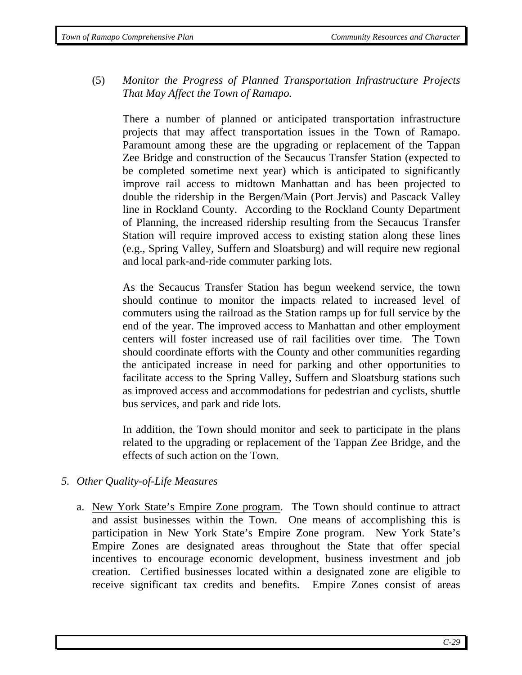(5) *Monitor the Progress of Planned Transportation Infrastructure Projects That May Affect the Town of Ramapo.* 

There a number of planned or anticipated transportation infrastructure projects that may affect transportation issues in the Town of Ramapo. Paramount among these are the upgrading or replacement of the Tappan Zee Bridge and construction of the Secaucus Transfer Station (expected to be completed sometime next year) which is anticipated to significantly improve rail access to midtown Manhattan and has been projected to double the ridership in the Bergen/Main (Port Jervis) and Pascack Valley line in Rockland County. According to the Rockland County Department of Planning, the increased ridership resulting from the Secaucus Transfer Station will require improved access to existing station along these lines (e.g., Spring Valley, Suffern and Sloatsburg) and will require new regional and local park-and-ride commuter parking lots.

As the Secaucus Transfer Station has begun weekend service, the town should continue to monitor the impacts related to increased level of commuters using the railroad as the Station ramps up for full service by the end of the year. The improved access to Manhattan and other employment centers will foster increased use of rail facilities over time. The Town should coordinate efforts with the County and other communities regarding the anticipated increase in need for parking and other opportunities to facilitate access to the Spring Valley, Suffern and Sloatsburg stations such as improved access and accommodations for pedestrian and cyclists, shuttle bus services, and park and ride lots.

In addition, the Town should monitor and seek to participate in the plans related to the upgrading or replacement of the Tappan Zee Bridge, and the effects of such action on the Town.

## *5. Other Quality-of-Life Measures*

a. New York State's Empire Zone program. The Town should continue to attract and assist businesses within the Town. One means of accomplishing this is participation in New York State's Empire Zone program. New York State's Empire Zones are designated areas throughout the State that offer special incentives to encourage economic development, business investment and job creation. Certified businesses located within a designated zone are eligible to receive significant tax credits and benefits. Empire Zones consist of areas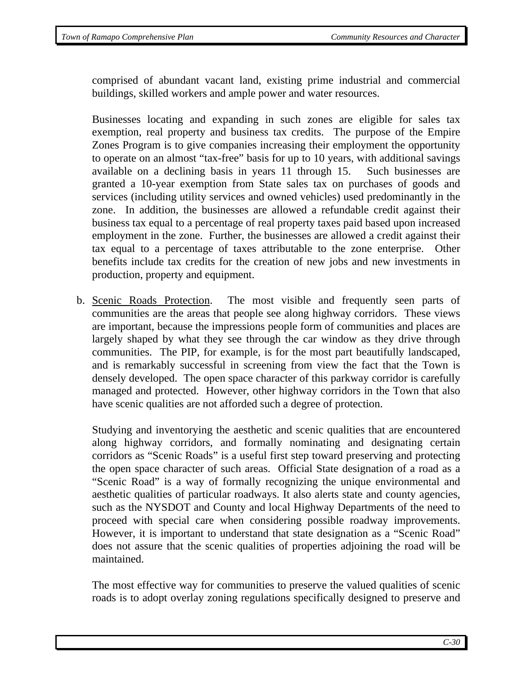comprised of abundant vacant land, existing prime industrial and commercial buildings, skilled workers and ample power and water resources.

Businesses locating and expanding in such zones are eligible for sales tax exemption, real property and business tax credits. The purpose of the Empire Zones Program is to give companies increasing their employment the opportunity to operate on an almost "tax-free" basis for up to 10 years, with additional savings available on a declining basis in years 11 through 15. Such businesses are granted a 10-year exemption from State sales tax on purchases of goods and services (including utility services and owned vehicles) used predominantly in the zone. In addition, the businesses are allowed a refundable credit against their business tax equal to a percentage of real property taxes paid based upon increased employment in the zone. Further, the businesses are allowed a credit against their tax equal to a percentage of taxes attributable to the zone enterprise. Other benefits include tax credits for the creation of new jobs and new investments in production, property and equipment.

b. Scenic Roads Protection. The most visible and frequently seen parts of communities are the areas that people see along highway corridors. These views are important, because the impressions people form of communities and places are largely shaped by what they see through the car window as they drive through communities. The PIP, for example, is for the most part beautifully landscaped, and is remarkably successful in screening from view the fact that the Town is densely developed. The open space character of this parkway corridor is carefully managed and protected. However, other highway corridors in the Town that also have scenic qualities are not afforded such a degree of protection.

Studying and inventorying the aesthetic and scenic qualities that are encountered along highway corridors, and formally nominating and designating certain corridors as "Scenic Roads" is a useful first step toward preserving and protecting the open space character of such areas. Official State designation of a road as a "Scenic Road" is a way of formally recognizing the unique environmental and aesthetic qualities of particular roadways. It also alerts state and county agencies, such as the NYSDOT and County and local Highway Departments of the need to proceed with special care when considering possible roadway improvements. However, it is important to understand that state designation as a "Scenic Road" does not assure that the scenic qualities of properties adjoining the road will be maintained.

The most effective way for communities to preserve the valued qualities of scenic roads is to adopt overlay zoning regulations specifically designed to preserve and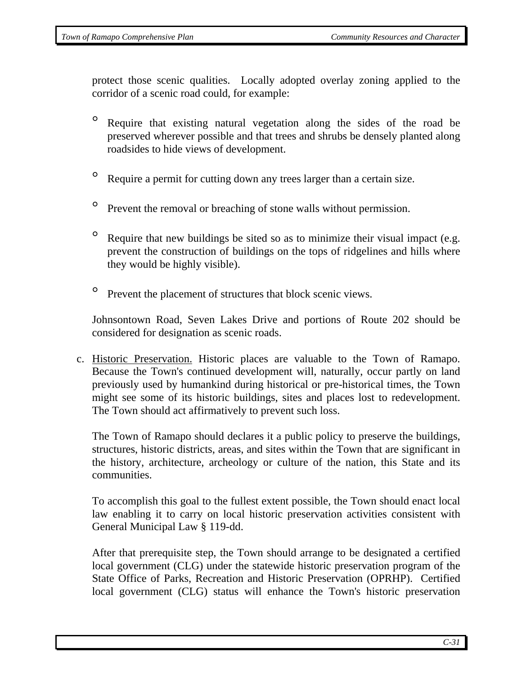protect those scenic qualities. Locally adopted overlay zoning applied to the corridor of a scenic road could, for example:

- ° Require that existing natural vegetation along the sides of the road be preserved wherever possible and that trees and shrubs be densely planted along roadsides to hide views of development.
- ° Require a permit for cutting down any trees larger than a certain size.
- <sup>o</sup> Prevent the removal or breaching of stone walls without permission.
- <sup>o</sup> Require that new buildings be sited so as to minimize their visual impact (e.g. prevent the construction of buildings on the tops of ridgelines and hills where they would be highly visible).
- <sup>o</sup> Prevent the placement of structures that block scenic views.

Johnsontown Road, Seven Lakes Drive and portions of Route 202 should be considered for designation as scenic roads.

c. Historic Preservation. Historic places are valuable to the Town of Ramapo. Because the Town's continued development will, naturally, occur partly on land previously used by humankind during historical or pre-historical times, the Town might see some of its historic buildings, sites and places lost to redevelopment. The Town should act affirmatively to prevent such loss.

The Town of Ramapo should declares it a public policy to preserve the buildings, structures, historic districts, areas, and sites within the Town that are significant in the history, architecture, archeology or culture of the nation, this State and its communities.

To accomplish this goal to the fullest extent possible, the Town should enact local law enabling it to carry on local historic preservation activities consistent with General Municipal Law § 119-dd.

After that prerequisite step, the Town should arrange to be designated a certified local government (CLG) under the statewide historic preservation program of the State Office of Parks, Recreation and Historic Preservation (OPRHP). Certified local government (CLG) status will enhance the Town's historic preservation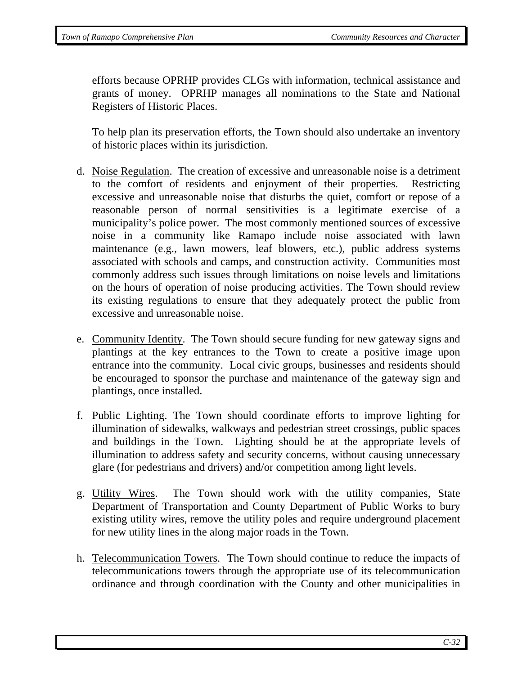efforts because OPRHP provides CLGs with information, technical assistance and grants of money. OPRHP manages all nominations to the State and National Registers of Historic Places.

To help plan its preservation efforts, the Town should also undertake an inventory of historic places within its jurisdiction.

- d. Noise Regulation. The creation of excessive and unreasonable noise is a detriment to the comfort of residents and enjoyment of their properties. Restricting excessive and unreasonable noise that disturbs the quiet, comfort or repose of a reasonable person of normal sensitivities is a legitimate exercise of a municipality's police power. The most commonly mentioned sources of excessive noise in a community like Ramapo include noise associated with lawn maintenance (e.g., lawn mowers, leaf blowers, etc.), public address systems associated with schools and camps, and construction activity. Communities most commonly address such issues through limitations on noise levels and limitations on the hours of operation of noise producing activities. The Town should review its existing regulations to ensure that they adequately protect the public from excessive and unreasonable noise.
- e. Community Identity. The Town should secure funding for new gateway signs and plantings at the key entrances to the Town to create a positive image upon entrance into the community. Local civic groups, businesses and residents should be encouraged to sponsor the purchase and maintenance of the gateway sign and plantings, once installed.
- f. Public Lighting. The Town should coordinate efforts to improve lighting for illumination of sidewalks, walkways and pedestrian street crossings, public spaces and buildings in the Town. Lighting should be at the appropriate levels of illumination to address safety and security concerns, without causing unnecessary glare (for pedestrians and drivers) and/or competition among light levels.
- g. Utility Wires. The Town should work with the utility companies, State Department of Transportation and County Department of Public Works to bury existing utility wires, remove the utility poles and require underground placement for new utility lines in the along major roads in the Town.
- h. Telecommunication Towers. The Town should continue to reduce the impacts of telecommunications towers through the appropriate use of its telecommunication ordinance and through coordination with the County and other municipalities in